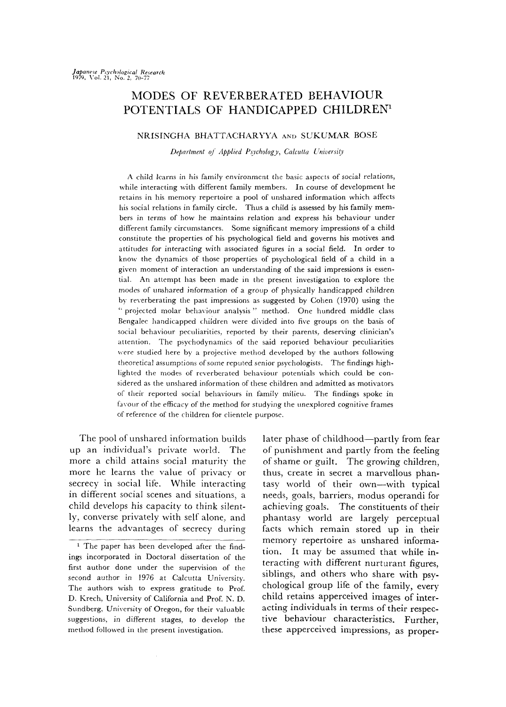# MODES OF REVERBERATED BEHAVIOUR POTENTIALS OF HANDICAPPED CHILDREN<sup>1</sup>

# NRISINGHA BHATTACHARYVA AND SUKUMAR BOSE

Department of Applied Psychology, Calcutta University

A child learns in his family environment the basic aspects of social relations, while interacting with different family members. In course of development he retains in his memory repertoire a pool of unshared information which affects his social relations in family circle. Thus a child is assessed by his family members in terms of how he maintains relation and express his behaviour under different family circumstances. Some significant memory impressions of a child constitute the properties of his psychological field and governs his motives and attitudes for interacting with associated figures in a social field. In order to know the dynamics of those properties of psychological field of a child in a given moment of interaction an understanding of the said impressions is essential. An attempt has been made in the present investigation to explore the modes of unshared information of a group of physically handicapped children by reverberating the past impressions as suggested by Cohen (1970) using the "projected molar behaviour analysis" method. One hundred middle class Sengalee handicapped children were divided into five groups on the basis of social behaviour peculiarities, reported by their parents, deserving clinician's attention. The psychodynamics of the said reported behaviour peculiarities were studied here by a projective method developed by the authors following theoretical assumptions of some reputed senior psychologists. The findings highlighted the modes of reverberated behaviour potentials which could be considered as the unshared information of these children and admitted as motivators of their reported social behaviours in family milieu. The findings spoke in favour of the efficacy of the method for studying the unexplored cognitive frames of reference of the children for clientele purpose.

The pool of unshared information builds up an individual's private world. The more a child attains social maturity the more he learns the value of privacy or secrecy in social life. While interacting in different social scenes and situations, a child develops his capacity to think silently, converse privately with self alone, and learns the advantages of secrecy during

later phase of childhood-partly from fear of punishment and partly from the feeling of shame or guilt. The growing children, thus, create in secret a marvellous phantasy world of their own-with typical needs, goals, barriers, modus operandi for achieving goals. The constituents of their phantasy world are largely perceptual facts which remain stored up in their memory repertoire as unshared information. It may be assumed that while interacting with different nurturant figures, siblings, and others who share with psychological group life of the family, every child retains apperceived images of interacting individuals in terms of their respective behaviour characteristics. Further, these apperceived impressions, as proper-

<sup>&</sup>lt;sup>1</sup> The paper has been developed after the findings incorporated in Doctoral dissertation of the first author done under the supervision of the second author in 1976 at Calcutta University. The authors wish to express gratitude to Prof. D. Krech, University of Califonia and Prof. N. D. Sundberg, University of Oregon, for their valuable suggestions, in different stages, to develop the method followed in the present investigation.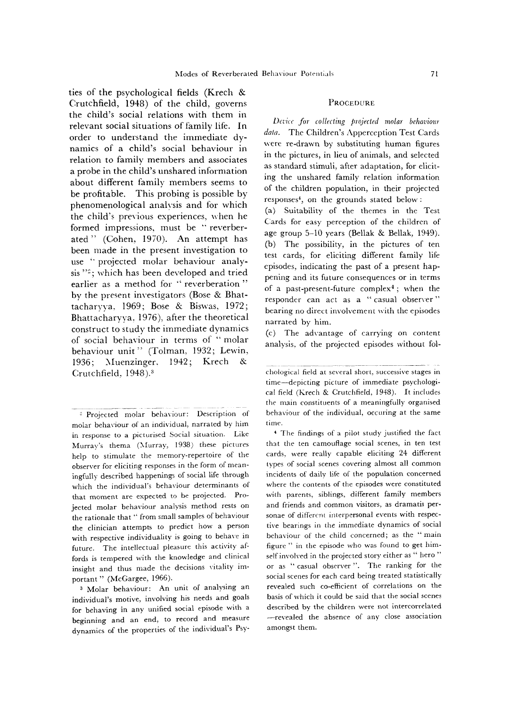ties of the psychological fields (Krech & Crutchfield, 1948) of the child, governs the child's social relations with them in relevant social situations of family life. In order to understand the immediate dynamics of a child's social behaviour in relation to family members and associates a probe in the child's unshared information about different family members seems to be profitable. This probing is possible by phenomenological analysis and for which the child's previous experiences, when he formed impressions, must be " reverberated " (Cohen, 1970). An attempt has been made in the present investigation to use `' projected molar behaviour analysis "<sup>2</sup>; which has been developed and tried earlier as a method for " reverberation" by the present investigators (Bose & Bhattacharyya, 1969; Bose & Biswas, 1972; Bhattacharyya, 1976), after the theoretical construct to study the immediate dynamics of social behaviour in terms of "molar behaviour unit" (Tolman, 1932; Lewin, 1936; Muenzinger, 1942; Krech & Crutchfield, 1948).3

## **PROCEDURE**

Device for collecting projected molar behaviour data. The Children's Apperception Test Cards were re-drawn by substituting human figures in the pictures, in lieu of animals, and selected as standard stimuli, after adaptation, for eliciting the unshared family relation information of the children population, in their projected responses', on the grounds stated below:

(a) Suitability of the themes in the Test Cards for easy perception of the children of age group 5-10 years (Bellak & Bellak, 1949). (b) The possibility, in the pictures of ten test cards, for eliciting different family life episodes, indicating the past of a present happening and its future consequences or in terms of a past-present-future complex<sup>4</sup>; when the responder can act as a " casual observer" bearing no direct involvement with the episodes narrated by him.

(c) The advantage of carrying on content analysis. of the projected episodes without fol-

'4 The findings of a pilot study justified the fact that the ten camouflage social scenes, in ten test cards. were really capable eliciting 24 different types of social scenes covering almost all common incidents of daily life of the population concerned where the contents of the episodes were constituted with parents, siblings, different family members and friends and common visitors, as dramatis personae of different interpersonal events with respective bearings in the immediate dynamics of social behaviour of the child concerned; as the " main figure " in the episode who was found to get himself involved in the projected story either as " hero" or as " casual observer". The ranking for the social scenes for each card being treated statistically revealed such co-efficient of correlations on the basis of which it could be said that the social scenes described by the children were not intercorrelated -revealed the absence of any close association amongst them.

<sup>&</sup>lt;sup>2</sup> Projected molar behaviour: Description of molar behaviour of an individual, narrated by him in response to a picturised Social situation. Like Murray's thema (Murray, 1938) these pictures help to stimulate the memory-repertoire of the observer for eliciting responses in the form of meaningfully described happenings of social life through which the individual's behaviour determinants of that moment are expected to be projected. Projected molar behaviour analysis method rests on the rationale that " from small samples of behaviour the clinician attempts to predict how a person with respective individuality is going to behave in future. The intellectual pleasure this activity affords is tempered with the knowledge and clinical insight and thus made the decisions vitality important " (McGargee, 1966).

Molar behaviour: An unit of analysing an individual's motive, involving his needs and goals for behaving in any unified social episode with a beginning and an end, to record and measure dynamics of the properties of the individual's Psy-

chological field at several short, successive stages in time—-depicting picture of immediate psychological field (Krech & Crutchfield, 1948). It includes the main constituents of a meaningfully organised behaviour of the individual, occuring at the same time.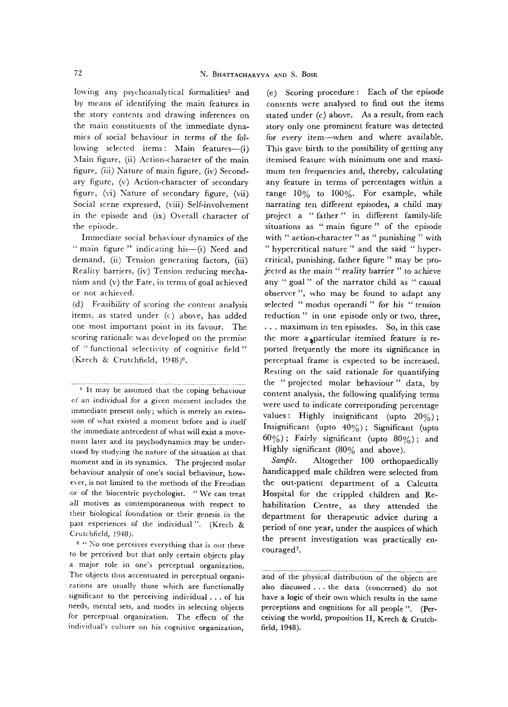lowing any psychoanalytical formalities<sup>5</sup> and by means of identifying the main features in the story contents and drawing inferences on the main constituents of the immediate dynamics of social behaviour in terms of the following selected items: Main features—(i) Main figure, (ii) Action-character of the main figure, (iii) Nature of main figure, (iv) Secondary figure, (v) Action-character of secondary figure, (vi) Nature of secondary figure, (vii) Social scene expressed, (viii) Self-involvement in the episode and (ix) Overall character of the episode.

Immediate social behaviour dynamics of the " main figure " indicating his-(i) Need and demand, (ii) Tension generating factors, (iii) Reality barriers, (iv) Tension reducing mechanism and (v) the Fate, in terms of goal achieved or not achieved.

(d) Feasibility of scoring the content analysis items, as stated under (c) above, has added one most important point in its favour. The scoring rationale was developed on the premise of "functional selectivity of cognitive field" (Krech & Crutchfield, 1948)6.

 $10^{-6}$  "No one perceives everything that is out there to be perceived but that only certain objects play a major role in one's perceptual organization. The objects thus accentuated in perceptual organizations are usually those which are functionally significant to the perceiving individual. .. of his needs, mental sets, and modes in selecting objects for perceptual organization. The effects of the individual's culture on his cognitive organization,

(e) Scoring procedure: Each of the episode contents were analysed to find out the items stated under (c) above. As a result, from each story only one prominent feature was detected for every item—when and where available. This gave birth to the possibility of getting any itemised feature with minimum one and maximum ten frequencies and, thereby, calculating any feature in terms of percentages within a range 10% to 100%. For example, while narrating ten different episodes, a child may project a "father" in different family-life situations as " main figure " of the episode with " action-character " as " punishing " with " hypercritical nature " and the said " hyper critical, punishing, father figure " may be projected as the main " reality barrier " to achieve any " goal " of the narrator child as " casual observer ", who may be found to adapt any selected " modus operandi " for his " tension reduction" in one episode only or two, three, ... maximum in ten episodes. So, in this case the more a,particular itemised feature is reported frequently the more its significance in perceptual frame is expected to be increased. Resting on the said rationale for quantifying the " projected molar behaviour " data, by content analysis, the following qualifying terms were used to indicate corresponding percentage values: Highly insignificant (upto 20%); Insignificant (upto  $40\%$ ); Significant (upto  $60\%$ ; Fairly significant (upto  $80\%$ ); and Highly significant (80% and above).

Sample. Altogether 100 orthopaedically handicapped male children were selected from the out-patient department of a Calcutta Hospital for the crippled children and Rehabilitation Centre, as they attended the department for therapeutic advice during a period of one year, under the auspices of which the present investigation was practically encouraged7.

<sup>5</sup> It may be assumed that the coping behaviour of an individual for a given moment includes the immediate present only; which is merely an extension of what existed a moment before and is itself the immediate antecedent of what will exist a movement later and its psychodynamics may be understood by studying the nature of the situation at that moment and in its synamics. The projected molar behaviour analysis of one's social behaviour, however, is not limited to the methods of the Freudian or of the biocentric psychologist. " We can treat all motives as contemporaneous with respect to their biological foundation or their genesis in the past experiences of the individual". (Krech & Crutchfield, 1948).

and of the physical distribution of the objects are also discussed... the data (concerned) do not have a logic of their own which results in the same perceptions and cognitions for all people ". (Perceiving the world, proposition II, Krech & Crutchfield, 1948).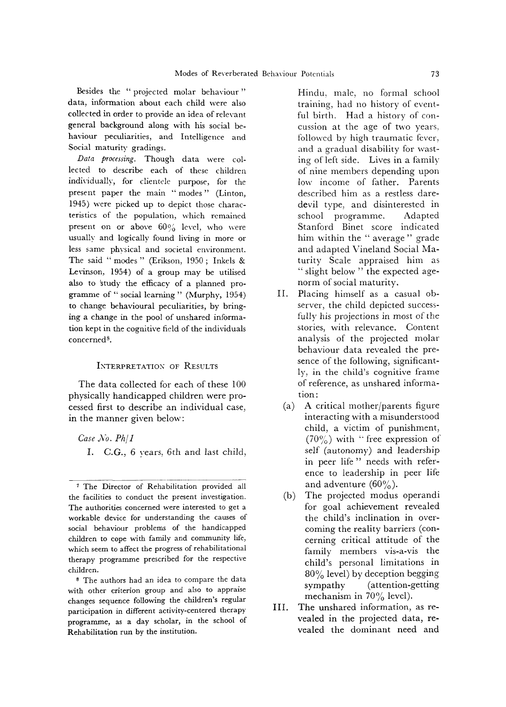Besides the "projected molar behaviour" data, information about each child were also collected in order to provide an idea of relevant general background along with his social behaviour peculiarities, and Intelligence and Social maturity gradings.

Data processing. Though data were collected to describe each of these children individually, for clientele purpose, for the present paper the main " modes " (Linton, 1945) were picked up to depict those characteristics of the population, which remained present on or above  $60\%$  level, who were usually and logically found living in more or less same physical and societal environment. The said " modes " (Erikson, 1950; Inkels & Levinson, 1954) of a group may be utilised also to 'study the efficacy of a planned programme of " social learning " (Murphy, 1954) to change behavioural peculiarities, by bringing a change in the pool of unshared information kept in the cognitive field of the individuals concerneds.

## INTERPRETATION OF RESULTS

The data collected for each of these 100 physically handicapped children were processed first to describe an individual case, in the manner given below:

Case No. Ph/1 I. C.G., 6 years, 6th and last child,

8 The authors had an idea to compare the data with other criterion group and also to appraise changes sequence following the children's regular participation in different activity-centered therapy programme, as a day scholar, in the school of Rehabilitation run by the institution.

Hindu, male, no formal school training, had no history of eventful birth. Had a history of concussion at the age of two years. followed by high traumatic fever, and a gradual disability for wasting of left side. Lives in a family of nine members depending upon low income of father. Parents described him as a restless daredevil type, and disinterested in school programme. Adapted Stanford Binet score indicated him within the "average" grade and adapted Vineland Social Maturity Scale appraised him as " slight below" the expected agenorm of social maturity.

- II. Placing himself as a casual observer, the child depicted successfully his projections in most of the stories, with relevance. Content analysis of the projected molar behaviour data revealed the presence of the following, significantly, in the child's cognitive frame of reference, as unshared information:
	- (a) A critical mother/parents figure interacting with a misunderstood child, a victim of punishment,  $(70\%)$  with "free expression of self (autonomy) and leadership in peer life" needs with reference to leadership in peer life and adventure  $(60\%)$ .
	- (b) The projected modus operandi for goal achievement revealed the child's inclination in overcoming the reality barriers (concerning critical attitude of the family members vis-a-vis the child's personal limitations in 80% level) by deception begging sympathy (attention-getting mechanism in  $70\%$  level).
- III. The unshared information, as revealed in the projected data, revealed the dominant need and

<sup>7</sup> The Director of Rehabilitation provided all the facilities to conduct the present investigation. The authorities concerned were interested to get a workable device for understanding the causes of social behaviour problems of the handicapped children to cope with family and community life, which seem to affect the progress of rehabilitational therapy programme prescribed for the respective children.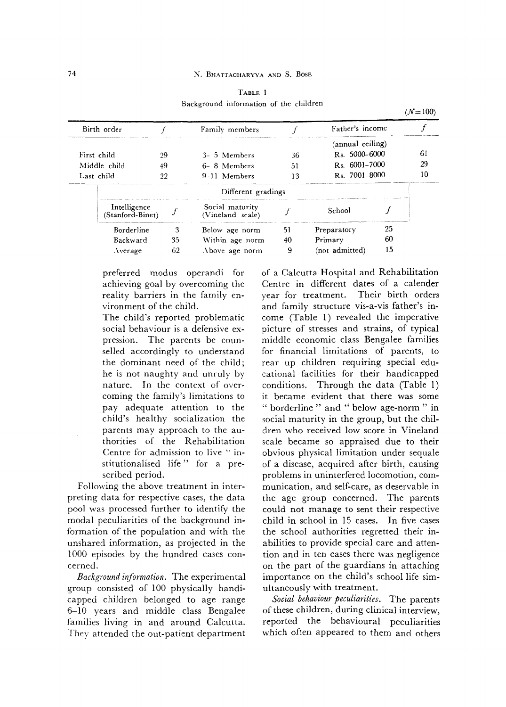| 61                                |
|-----------------------------------|
| 29                                |
| 10                                |
|                                   |
|                                   |
|                                   |
|                                   |
|                                   |
| Father's income<br>25<br>60<br>15 |

TABLE 1 Background information of the children

preferred modus operandi for achieving goal by overcoming the reality barriers in the family environment of the child.

The child's reported problematic social behaviour is a defensive expression. The parents be counselled accordingly to understand the dominant need of the child; he is not naughty and unruly by nature. In the context of overcoming the family's limitations to pay adequate attention to the child's healthy socialization the parents may approach to the authorities of the Rehabilitation Centre for admission to live "institutionalised life" for a prescribed period.

Following the above treatment in interpreting data for respective cases, the data pool was processed further to identify the modal peculiarities of the background information of the population and with the unshared information, as projected in the 1000 episodes by the hundred cases concerned.

Background information. The experimental group consisted of 100 physically handicapped children belonged to age range 6-10 years and middle class Bengalee families living in and around Calcutta. They attended the out-patient department

of a Calcutta Hospital and Rehabilitation Centre in different dates of a calender year for treatment. Their birth orders and family structure vis-a-vis father's income (Table 1) revealed the imperative picture of stresses and strains, of typical middle economic class Bengalee families for financial limitations of parents, to rear up children requiring special educational facilities for their handicapped conditions. Through the data (Table 1) it became evident that there was some " borderline " and " below age-norm " in social maturity in the group, but the children who received low score in Vineland scale became so appraised due to their obvious physical limitation under sequale of a disease, acquired after birth, causing problems in uninterfered locomotion, communication, and self-care, as deservable in the age group concerned. The parents could not manage to sent their respective child in school in 15 cases. In five cases the school authorities regretted their inabilities to provide special care and attention and in ten cases there was negligence on the part of the guardians in attaching importance on the child's school life simultaneously with treatment.

Social behaviour peculiarities. The parents of these children, during clinical interview, reported the behavioural peculiarities which often appeared to them and others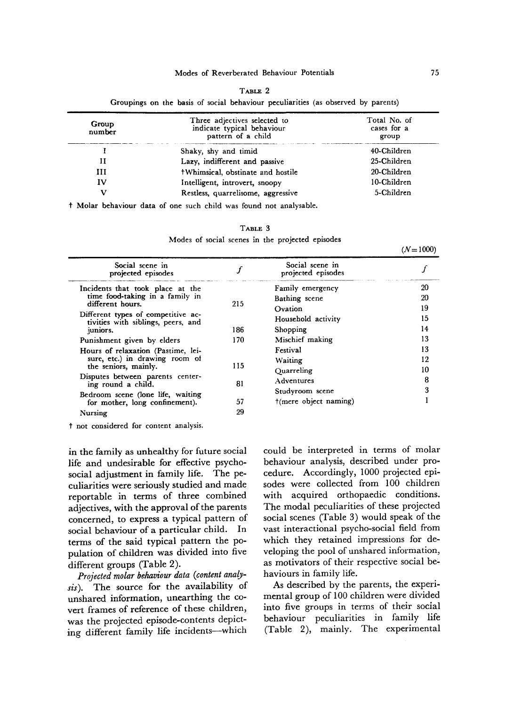| ٧<br>. . |  |
|----------|--|
|----------|--|

Groupings on the basis of social behaviour peculiarities (as observed by parents)

| Group<br>number | Three adjectives selected to<br>indicate typical behaviour<br>pattern of a child | Total No. of<br>cases for a<br>group |
|-----------------|----------------------------------------------------------------------------------|--------------------------------------|
|                 | Shaky, shy and timid                                                             | 40-Children                          |
| Н               | Lazy, indifferent and passive                                                    | 25-Children                          |
| ш               | +Whimsical, obstinate and hostile                                                | 20-Children                          |
| IV              | Intelligent, introvert, snoopy                                                   | 10-Children                          |
|                 | Restless, quarrelisome, aggressive                                               | 5-Children                           |

† Molar behaviour data of one such child was found not analysable.

| u v<br>L. |  |
|-----------|--|
|-----------|--|

Modes of social scenes in the projected episodes

| Social scene in<br>projected episodes                                                                           |     | Social scene in<br>projected episodes |    |
|-----------------------------------------------------------------------------------------------------------------|-----|---------------------------------------|----|
| Incidents that took place at the                                                                                |     | Family emergency                      | 20 |
| time food-taking in a family in                                                                                 |     | Bathing scene                         | 20 |
| different hours.                                                                                                | 215 | Ovation                               | 19 |
| Different types of competitive ac-<br>tivities with siblings, peers, and                                        |     | Household activity                    | 15 |
| juniors.                                                                                                        | 186 | Shopping                              | 14 |
| Punishment given by elders                                                                                      | 170 | Mischief making                       | 13 |
| Hours of relaxation (Pastime, lei-                                                                              |     | Festival                              | 13 |
| sure, etc.) in drawing room of                                                                                  |     | <b>Waiting</b>                        | 12 |
| the seniors, mainly.                                                                                            | 115 | Quarreling                            | 10 |
| Disputes between parents center-<br>ing round a child.                                                          | 81  | Adventures                            | 8  |
| Bedroom scene (lone life, waiting                                                                               |     | Studyroom scene                       | 3  |
| for mother, long confinement).                                                                                  | 57  | $+$ (mere object naming)              |    |
| Nursing                                                                                                         | 29  |                                       |    |
| the contract of the contract of the contract of the contract of the contract of the contract of the contract of |     |                                       |    |

† not considered for content analysis.

in the family as unhealthy for future social life and undesirable for effective psychosocial adjustment in family life. The peculiarities were seriously studied and made reportable in terms of three combined adjectives, with the approval of the parents concerned, to express a typical pattern of social behaviour of a particular child. In terms of the said typical pattern the population of children was divided into five different groups (Table 2).

Projected molar behaviour data (content analysis). The source for the availability of unshared information, unearthing the covert frames of reference of these children, was the projected episode-contents depicting different family life incidents—-which could be interpreted in terms of molar behaviour analysis, described under procedure. Accordingly, 1000 projected episodes were collected from 100 children with acquired orthopaedic conditions. The modal peculiarities of these projected social scenes (Table 3) would speak of the vast interactional psycho-social field from which they retained impressions for developing the pool of unshared information, as motivators of their respective social behaviours in family life.

As described by the parents, the experimental group of 100 children were divided into five groups in terms of their social behaviour peculiarities in family life (Table 2), mainly. The experimental

 $(N=1000)$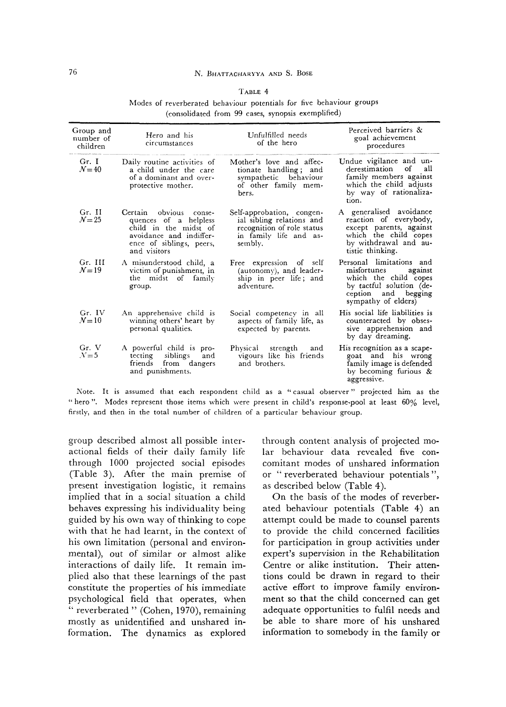#### TABLE 4

|                                                    | Modes of reverberated behaviour potentials for five behaviour groups |
|----------------------------------------------------|----------------------------------------------------------------------|
| (consolidated from 99 cases, synopsis exemplified) |                                                                      |

| Group and<br>number of<br>children | Hero and his<br>circumstances                                                                                                                   | Unfulfilled needs<br>of the hero                                                                                          | Perceived barriers &<br>goal achievement<br>procedures                                                                                             |
|------------------------------------|-------------------------------------------------------------------------------------------------------------------------------------------------|---------------------------------------------------------------------------------------------------------------------------|----------------------------------------------------------------------------------------------------------------------------------------------------|
| Gr. I<br>$\mathcal{N}=40$          | Daily routine activities of<br>a child under the care<br>of a dominant and over-<br>protective mother.                                          | Mother's love and affec-<br>tionate handling; and<br>sympathetic behaviour<br>of other family mem-<br>bers.               | Undue vigilance and un-<br>derestimation<br>of<br>all<br>family members against<br>which the child adjusts<br>by way of rationaliza-<br>tion.      |
| Gr. II<br>$\mathcal{N}=25$         | Certain obvious conse-<br>quences of a helpless<br>child in the midst of<br>avoidance and indiffer-<br>ence of siblings, peers,<br>and visitors | Self-approbation, congen-<br>ial sibling relations and<br>recognition of role status<br>in family life and as-<br>sembly. | A generalised avoidance<br>reaction of everybody,<br>except parents, against<br>which the child copes<br>by withdrawal and au-<br>tistic thinking. |
| Gr. III<br>$N=19$                  | A misunderstood child, a<br>victim of punishment, in<br>the midst of family<br>group.                                                           | Free expression of self<br>(autonomy), and leader-<br>ship in peer life; and<br>adventure.                                | Personal limitations and<br>misfortunes against<br>which the child copes<br>by tactful solution (de-<br>ception and begging<br>sympathy of elders) |
| Gr. IV<br>$N=10$                   | An apprehensive child is<br>winning others' heart by<br>personal qualities.                                                                     | Social competency in all<br>aspects of family life, as<br>expected by parents.                                            | His social life liabilities is<br>counteracted by obses-<br>sive apprehension and<br>by day dreaming.                                              |
| Gr. V<br>$N=5$                     | A powerful child is pro-<br>tecting siblings<br>and<br>friends from dangers<br>and punishments.                                                 | Physical strength<br>and<br>vigours like his friends<br>and brothers.                                                     | His recognition as a scape-<br>goat and his wrong<br>family image is defended<br>by becoming furious $\&$<br>aggressive.                           |

Note. It is assumed that each respondent child as a "casual observer" projected him as the hero ". Modes represent those items which were present in child's response-pool at least 60% level, firstly, and then in the total number of children of a particular behaviour group.

group described almost all possible interactional fields of their daily family life through 1000 projected social episodes (Table 3). After the main premise of present investigation logistic, it remains implied that in a social situation a child behaves expressing his individuality being guided by his own way of thinking to cope with that he had learnt, in the context of his own limitation (personal and environmental), out of similar or almost alike interactions of daily life. It remain implied also that these learnings of the past constitute the properties of his immediate psychological field that operates, when " reverberated " (Cohen, 1970), remaining mostly as unidentified and unshared information. The dynamics as explored through content analysis of projected molar behaviour data revealed five concomitant modes of unshared information or " reverberated behaviour potentials", as described below (Table 4).

On the basis of the modes of reverberated behaviour potentials (Table 4) an attempt could be made to counsel parents to provide the child concerned facilities for participation in group activities under expert's supervision in the Rehabilitation Centre or alike institution. Their attentions could be drawn in regard to their active effort to improve family environment so that the child concerned can get adequate opportunities to fulfil needs and be able to share more of his unshared information to somebody in the family or